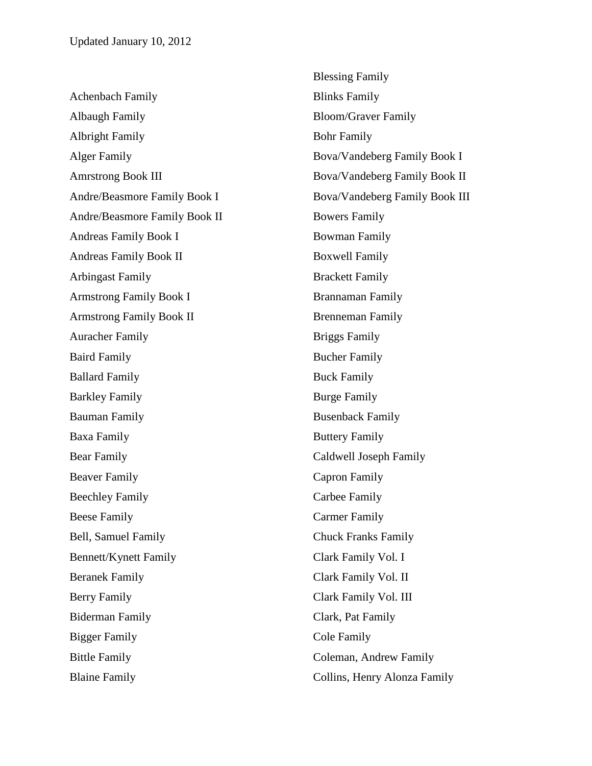Achenbach Family Albaugh Family Albright Family Alger Family Amrstrong Book III Andre/Beasmore Family Book I Andre/Beasmore Family Book II Andreas Family Book I Andreas Family Book II Arbingast Family Armstrong Family Book I Armstrong Family Book II Auracher Family Baird Family Ballard Family Barkley Family Bauman Family Baxa Family Bear Family Beaver Family Beechley Family Beese Family Bell, Samuel Family Bennett/Kynett Family Beranek Family Berry Family Biderman Family Bigger Family Bittle Family Blaine Family

Blessing Family Blinks Family Bloom/Graver Family Bohr Family Bova/Vandeberg Family Book I Bova/Vandeberg Family Book II Bova/Vandeberg Family Book III Bowers Family Bowman Family Boxwell Family Brackett Family Brannaman Family Brenneman Family Briggs Family Bucher Family Buck Family Burge Family Busenback Family Buttery Family Caldwell Joseph Family Capron Family Carbee Family Carmer Family Chuck Franks Family Clark Family Vol. I Clark Family Vol. II Clark Family Vol. III Clark, Pat Family Cole Family Coleman, Andrew Family Collins, Henry Alonza Family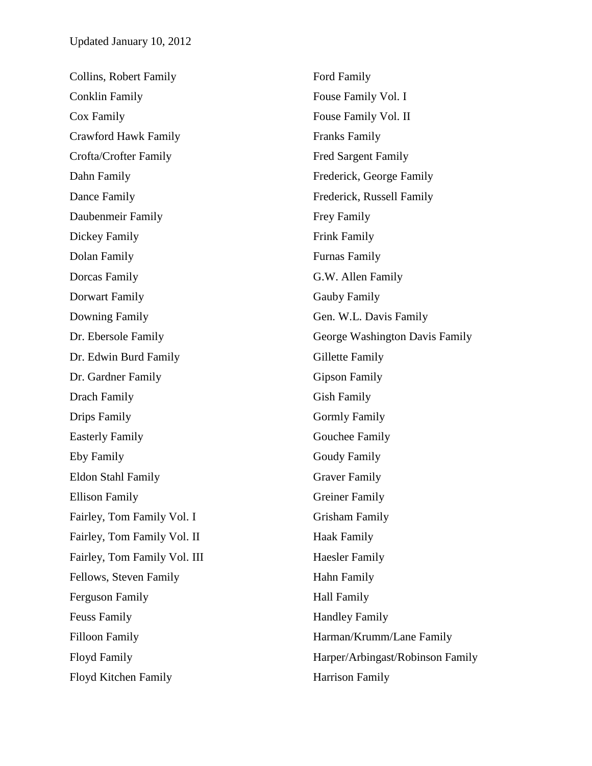| Collins, Robert Family       | <b>Ford Family</b>               |
|------------------------------|----------------------------------|
| <b>Conklin Family</b>        | Fouse Family Vol. I              |
| Cox Family                   | Fouse Family Vol. II             |
| <b>Crawford Hawk Family</b>  | <b>Franks Family</b>             |
| Crofta/Crofter Family        | <b>Fred Sargent Family</b>       |
| Dahn Family                  | Frederick, George Family         |
| Dance Family                 | Frederick, Russell Family        |
| Daubenmeir Family            | Frey Family                      |
| Dickey Family                | <b>Frink Family</b>              |
| Dolan Family                 | <b>Furnas Family</b>             |
| Dorcas Family                | G.W. Allen Family                |
| Dorwart Family               | <b>Gauby Family</b>              |
| Downing Family               | Gen. W.L. Davis Family           |
| Dr. Ebersole Family          | George Washington Davis Family   |
| Dr. Edwin Burd Family        | Gillette Family                  |
| Dr. Gardner Family           | <b>Gipson Family</b>             |
| Drach Family                 | <b>Gish Family</b>               |
| Drips Family                 | <b>Gormly Family</b>             |
| <b>Easterly Family</b>       | Gouchee Family                   |
| Eby Family                   | <b>Goudy Family</b>              |
| Eldon Stahl Family           | <b>Graver Family</b>             |
| <b>Ellison Family</b>        | <b>Greiner Family</b>            |
| Fairley, Tom Family Vol. I   | <b>Grisham Family</b>            |
| Fairley, Tom Family Vol. II  | <b>Haak Family</b>               |
| Fairley, Tom Family Vol. III | <b>Haesler Family</b>            |
| Fellows, Steven Family       | Hahn Family                      |
| <b>Ferguson Family</b>       | <b>Hall Family</b>               |
| <b>Feuss Family</b>          | <b>Handley Family</b>            |
| <b>Filloon Family</b>        | Harman/Krumm/Lane Family         |
| <b>Floyd Family</b>          | Harper/Arbingast/Robinson Family |
| Floyd Kitchen Family         | <b>Harrison Family</b>           |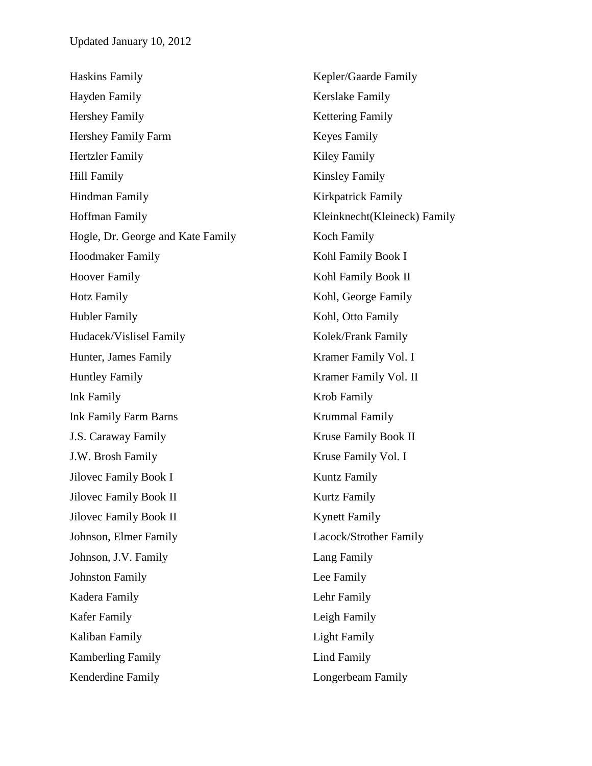| <b>Haskins Family</b>             | Kepler/Gaarde Family         |
|-----------------------------------|------------------------------|
| Hayden Family                     | Kerslake Family              |
| Hershey Family                    | <b>Kettering Family</b>      |
| Hershey Family Farm               | <b>Keyes Family</b>          |
| <b>Hertzler Family</b>            | Kiley Family                 |
| <b>Hill Family</b>                | <b>Kinsley Family</b>        |
| Hindman Family                    | Kirkpatrick Family           |
| <b>Hoffman Family</b>             | Kleinknecht(Kleineck) Family |
| Hogle, Dr. George and Kate Family | Koch Family                  |
| <b>Hoodmaker Family</b>           | Kohl Family Book I           |
| <b>Hoover Family</b>              | Kohl Family Book II          |
| <b>Hotz Family</b>                | Kohl, George Family          |
| <b>Hubler Family</b>              | Kohl, Otto Family            |
| Hudacek/Vislisel Family           | Kolek/Frank Family           |
| Hunter, James Family              | Kramer Family Vol. I         |
| <b>Huntley Family</b>             | Kramer Family Vol. II        |
| <b>Ink Family</b>                 | Krob Family                  |
| <b>Ink Family Farm Barns</b>      | <b>Krummal Family</b>        |
| J.S. Caraway Family               | Kruse Family Book II         |
| J.W. Brosh Family                 | Kruse Family Vol. I          |
| Jilovec Family Book I             | <b>Kuntz Family</b>          |
| <b>Jilovec Family Book II</b>     | <b>Kurtz Family</b>          |
| <b>Jilovec Family Book II</b>     | <b>Kynett Family</b>         |
| Johnson, Elmer Family             | Lacock/Strother Family       |
| Johnson, J.V. Family              | Lang Family                  |
| <b>Johnston Family</b>            | Lee Family                   |
| Kadera Family                     | Lehr Family                  |
| Kafer Family                      | Leigh Family                 |
| Kaliban Family                    | <b>Light Family</b>          |
| <b>Kamberling Family</b>          | <b>Lind Family</b>           |
| Kenderdine Family                 | Longerbeam Family            |
|                                   |                              |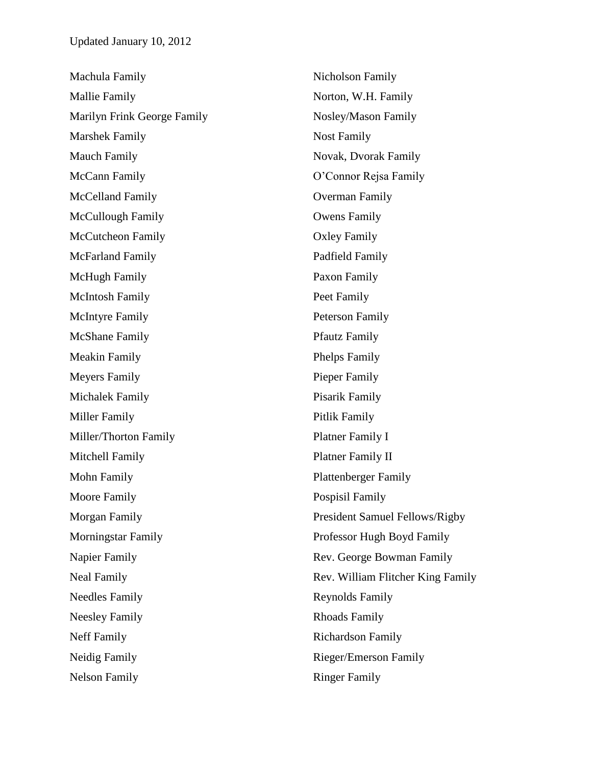| Machula Family              | Nicholson Family                  |
|-----------------------------|-----------------------------------|
| <b>Mallie Family</b>        | Norton, W.H. Family               |
| Marilyn Frink George Family | Nosley/Mason Family               |
| <b>Marshek Family</b>       | <b>Nost Family</b>                |
| <b>Mauch Family</b>         | Novak, Dvorak Family              |
| McCann Family               | O'Connor Rejsa Family             |
| McCelland Family            | Overman Family                    |
| <b>McCullough Family</b>    | <b>Owens Family</b>               |
| <b>McCutcheon Family</b>    | <b>Oxley Family</b>               |
| <b>McFarland Family</b>     | Padfield Family                   |
| McHugh Family               | Paxon Family                      |
| <b>McIntosh Family</b>      | Peet Family                       |
| <b>McIntyre Family</b>      | <b>Peterson Family</b>            |
| <b>McShane Family</b>       | <b>Pfautz Family</b>              |
| <b>Meakin Family</b>        | <b>Phelps Family</b>              |
| <b>Meyers Family</b>        | Pieper Family                     |
| Michalek Family             | Pisarik Family                    |
| Miller Family               | Pitlik Family                     |
| Miller/Thorton Family       | Platner Family I                  |
| Mitchell Family             | Platner Family II                 |
| Mohn Family                 | <b>Plattenberger Family</b>       |
| Moore Family                | <b>Pospisil Family</b>            |
| Morgan Family               | President Samuel Fellows/Rigby    |
| <b>Morningstar Family</b>   | Professor Hugh Boyd Family        |
| Napier Family               | Rev. George Bowman Family         |
| <b>Neal Family</b>          | Rev. William Flitcher King Family |
| <b>Needles Family</b>       | <b>Reynolds Family</b>            |
| <b>Neesley Family</b>       | <b>Rhoads Family</b>              |
| <b>Neff Family</b>          | <b>Richardson Family</b>          |
| Neidig Family               | Rieger/Emerson Family             |
| <b>Nelson Family</b>        | <b>Ringer Family</b>              |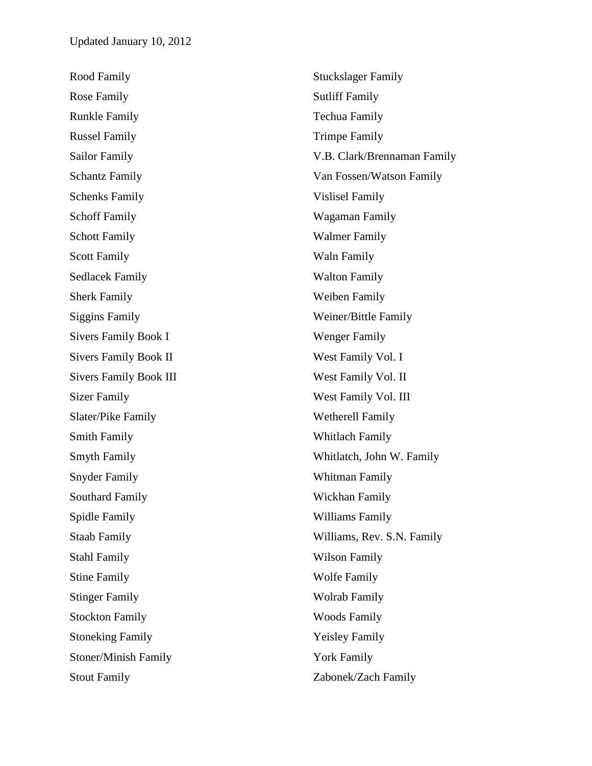Rood Family Rose Family Runkle Family Russel Family Sailor Family Schantz Family Schenks Family Schoff Family Schott Family Scott Family Sedlacek Family Sherk Family Siggins Family Sivers Family Book I Sivers Family Book II Sivers Family Book III Sizer Family Slater/Pike Family Smith Family Smyth Family Snyder Family Southard Family Spidle Family Staab Family Stahl Family Stine Family Stinger Family Stockton Family Stoneking Family Stoner/Minish Family Stout Family Stuckslager Family Sutliff Family Techua Family Trimpe Family V.B. Clark/Brennaman Family Van Fossen/Watson Family Vislisel Family Wagaman Family Walmer Family Waln Family Walton Family Weiben Family Weiner/Bittle Family Wenger Family West Family Vol. I West Family Vol. II West Family Vol. III Wetherell Family Whitlach Family Whitlatch, John W. Family Whitman Family Wickhan Family Williams Family Williams, Rev. S.N. Family Wilson Family Wolfe Family Wolrab Family Woods Family Yeisley Family York Family Zabonek/Zach Family